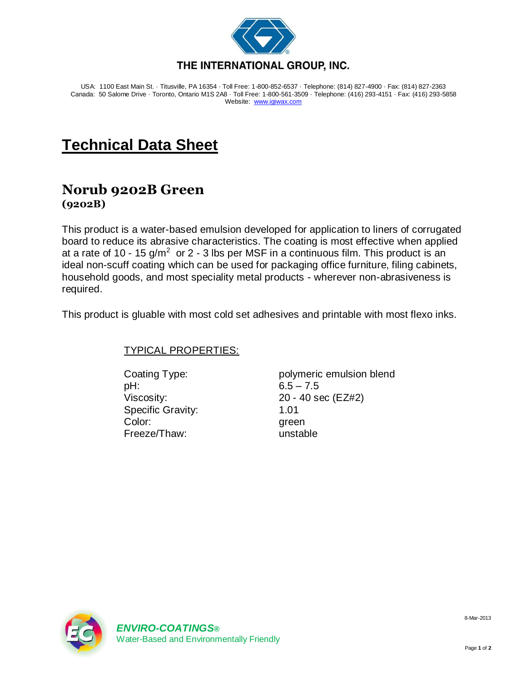

USA: 1100 East Main St. · Titusville, PA 16354 · Toll Free: 1-800-852-6537 · Telephone: (814) 827-4900 · Fax: (814) 827-2363 Canada: 50 Salome Drive · Toronto, Ontario M1S 2A8 · Toll Free: 1-800-561-3509 · Telephone: (416) 293-4151 · Fax: (416) 293-5858 Website: [www.igiwax.com](http://www.igiwax.com/)

## **Technical Data Sheet**

## **Norub 9202B Green (9202B)**

This product is a water-based emulsion developed for application to liners of corrugated board to reduce its abrasive characteristics. The coating is most effective when applied at a rate of 10 - 15  $g/m^2$  or 2 - 3 lbs per MSF in a continuous film. This product is an ideal non-scuff coating which can be used for packaging office furniture, filing cabinets, household goods, and most speciality metal products - wherever non-abrasiveness is required.

This product is gluable with most cold set adhesives and printable with most flexo inks.

## TYPICAL PROPERTIES:

pH: 6.5 – 7.5 Specific Gravity: 1.01 Color: green Freeze/Thaw: unstable

Coating Type: polymeric emulsion blend Viscosity: 20 - 40 sec (EZ#2)